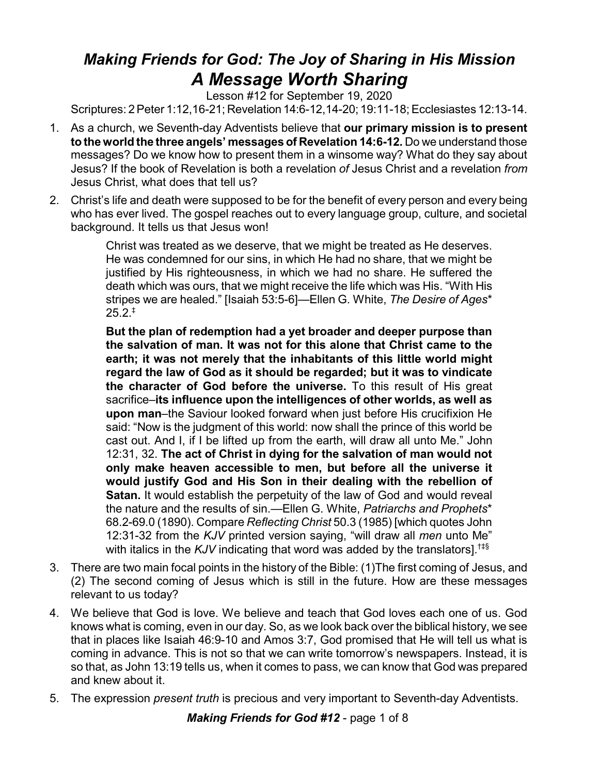## *Making Friends for God: The Joy of Sharing in His Mission A Message Worth Sharing*

Lesson #12 for September 19, 2020

Scriptures: 2Peter 1:12,16-21; Revelation 14:6-12,14-20; 19:11-18; Ecclesiastes 12:13-14.

- 1. As a church, we Seventh-day Adventists believe that **our primary mission is to present to the world the three angels' messages of Revelation 14:6-12.** Do we understand those messages? Do we know how to present them in a winsome way? What do they say about Jesus? If the book of Revelation is both a revelation *of* Jesus Christ and a revelation *from* Jesus Christ, what does that tell us?
- 2. Christ's life and death were supposed to be for the benefit of every person and every being who has ever lived. The gospel reaches out to every language group, culture, and societal background. It tells us that Jesus won!

Christ was treated as we deserve, that we might be treated as He deserves. He was condemned for our sins, in which He had no share, that we might be justified by His righteousness, in which we had no share. He suffered the death which was ours, that we might receive the life which was His. "With His stripes we are healed." [Isaiah 53:5-6]—Ellen G. White, *The Desire of Ages*\*  $25.2.$ <sup>‡</sup>

**But the plan of redemption had a yet broader and deeper purpose than the salvation of man. It was not for this alone that Christ came to the earth; it was not merely that the inhabitants of this little world might regard the law of God as it should be regarded; but it was to vindicate the character of God before the universe.** To this result of His great sacrifice–**its influence upon the intelligences of other worlds, as well as upon man**–the Saviour looked forward when just before His crucifixion He said: "Now is the judgment of this world: now shall the prince of this world be cast out. And I, if I be lifted up from the earth, will draw all unto Me." John 12:31, 32. **The act of Christ in dying for the salvation of man would not only make heaven accessible to men, but before all the universe it would justify God and His Son in their dealing with the rebellion of Satan.** It would establish the perpetuity of the law of God and would reveal the nature and the results of sin.—Ellen G. White, *Patriarchs and Prophets*\* 68.2-69.0 (1890). Compare *Reflecting Christ* 50.3 (1985) [which quotes John 12:31-32 from the *KJV* printed version saying, "will draw all *men* unto Me" with italics in the *KJV* indicating that word was added by the translators].<sup>†‡§</sup>

- 3. There are two main focal points in the history of the Bible: (1)The first coming of Jesus, and (2) The second coming of Jesus which is still in the future. How are these messages relevant to us today?
- 4. We believe that God is love. We believe and teach that God loves each one of us. God knows what is coming, even in our day. So, as we look back over the biblical history, we see that in places like Isaiah 46:9-10 and Amos 3:7, God promised that He will tell us what is coming in advance. This is not so that we can write tomorrow's newspapers. Instead, it is so that, as John 13:19 tells us, when it comes to pass, we can know that God was prepared and knew about it.
- 5. The expression *present truth* is precious and very important to Seventh-day Adventists.

*Making Friends for God #12* - page 1 of 8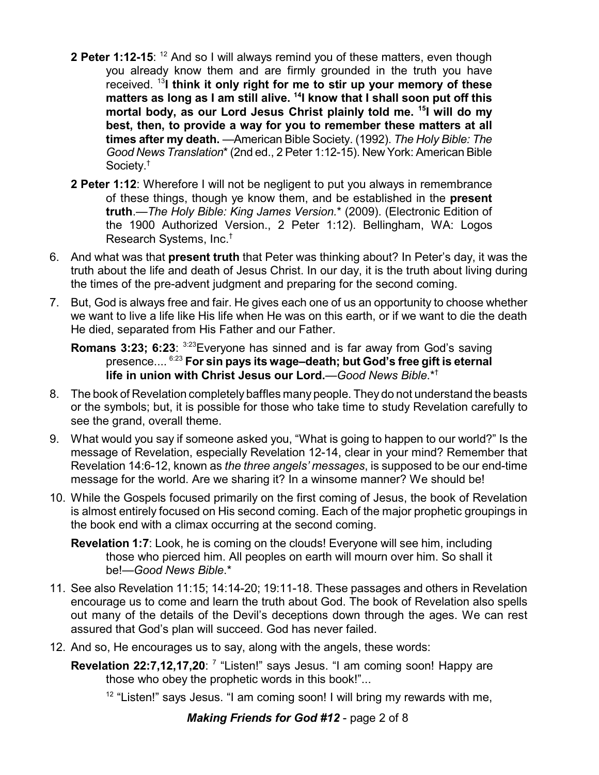- **2 Peter 1:12-15**: <sup>12</sup> And so I will always remind you of these matters, even though you already know them and are firmly grounded in the truth you have received. 13 **I think it only right for me to stir up your memory of these matters as long as I am still alive. 14 I know that I shall soon put off this mortal body, as our Lord Jesus Christ plainly told me. 15 I will do my best, then, to provide a way for you to remember these matters at all times after my death.** —American Bible Society. (1992). *The Holy Bible: The Good News Translation*\*(2nd ed., 2 Peter 1:12-15). New York: American Bible Society. †
- **2 Peter 1:12**: Wherefore I will not be negligent to put you always in remembrance of these things, though ye know them, and be established in the **present truth**.—*The Holy Bible: King James Version.*\* (2009). (Electronic Edition of the 1900 Authorized Version., 2 Peter 1:12). Bellingham, WA: Logos Research Systems, Inc.†
- 6. And what was that **present truth** that Peter was thinking about? In Peter's day, it was the truth about the life and death of Jesus Christ. In our day, it is the truth about living during the times of the pre-advent judgment and preparing for the second coming.
- 7. But, God is always free and fair. He gives each one of us an opportunity to choose whether we want to live a life like His life when He was on this earth, or if we want to die the death He died, separated from His Father and our Father.

**Romans 3:23; 6:23:**  $3.23$  Everyone has sinned and is far away from God's saving presence.... 6:23 **For sin pays its wage–death; but God's free gift is eternal life in union with Christ Jesus our Lord.**—*Good News Bible*.\*†

- 8. The book of Revelation completely baffles many people. They do not understand the beasts or the symbols; but, it is possible for those who take time to study Revelation carefully to see the grand, overall theme.
- 9. What would you say if someone asked you, "What is going to happen to our world?" Is the message of Revelation, especially Revelation 12-14, clear in your mind? Remember that Revelation 14:6-12, known as *the three angels' messages*, is supposed to be our end-time message for the world. Are we sharing it? In a winsome manner? We should be!
- 10. While the Gospels focused primarily on the first coming of Jesus, the book of Revelation is almost entirely focused on His second coming. Each of the major prophetic groupings in the book end with a climax occurring at the second coming.
	- **Revelation 1:7**: Look, he is coming on the clouds! Everyone will see him, including those who pierced him. All peoples on earth will mourn over him. So shall it be!—*Good News Bible*.\*
- 11. See also Revelation 11:15; 14:14-20; 19:11-18. These passages and others in Revelation encourage us to come and learn the truth about God. The book of Revelation also spells out many of the details of the Devil's deceptions down through the ages. We can rest assured that God's plan will succeed. God has never failed.
- 12. And so, He encourages us to say, along with the angels, these words:
	- **Revelation 22:7,12,17,20**: <sup>7</sup> "Listen!" says Jesus. "I am coming soon! Happy are those who obey the prophetic words in this book!"...
		- $12$  "Listen!" says Jesus. "I am coming soon! I will bring my rewards with me,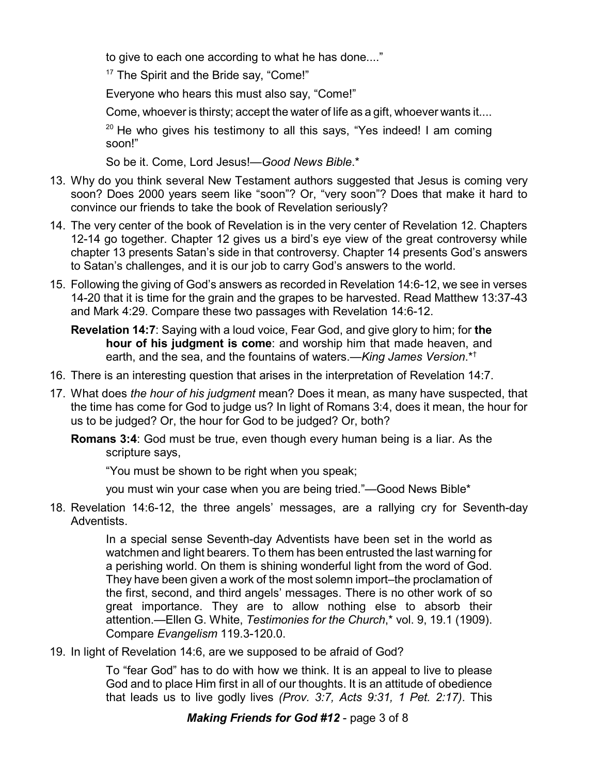to give to each one according to what he has done...."

<sup>17</sup> The Spirit and the Bride say, "Come!"

Everyone who hears this must also say, "Come!"

Come, whoever is thirsty; accept the water of life as a gift, whoever wants it....

<sup>20</sup> He who gives his testimony to all this says, "Yes indeed! I am coming soon!"

So be it. Come, Lord Jesus!—*Good News Bible*.\*

- 13. Why do you think several New Testament authors suggested that Jesus is coming very soon? Does 2000 years seem like "soon"? Or, "very soon"? Does that make it hard to convince our friends to take the book of Revelation seriously?
- 14. The very center of the book of Revelation is in the very center of Revelation 12. Chapters 12-14 go together. Chapter 12 gives us a bird's eye view of the great controversy while chapter 13 presents Satan's side in that controversy. Chapter 14 presents God's answers to Satan's challenges, and it is our job to carry God's answers to the world.
- 15. Following the giving of God's answers as recorded in Revelation 14:6-12, we see in verses 14-20 that it is time for the grain and the grapes to be harvested. Read Matthew 13:37-43 and Mark 4:29. Compare these two passages with Revelation 14:6-12.

**Revelation 14:7**: Saying with a loud voice, Fear God, and give glory to him; for **the hour of his judgment is come**: and worship him that made heaven, and earth, and the sea, and the fountains of waters.—*King James Version*.\*†

- 16. There is an interesting question that arises in the interpretation of Revelation 14:7.
- 17. What does *the hour of his judgment* mean? Does it mean, as many have suspected, that the time has come for God to judge us? In light of Romans 3:4, does it mean, the hour for us to be judged? Or, the hour for God to be judged? Or, both?
	- **Romans 3:4**: God must be true, even though every human being is a liar. As the scripture says,

"You must be shown to be right when you speak;

you must win your case when you are being tried."—Good News Bible\*

18. Revelation 14:6-12, the three angels' messages, are a rallying cry for Seventh-day Adventists.

> In a special sense Seventh-day Adventists have been set in the world as watchmen and light bearers. To them has been entrusted the last warning for a perishing world. On them is shining wonderful light from the word of God. They have been given a work of the most solemn import–the proclamation of the first, second, and third angels' messages. There is no other work of so great importance. They are to allow nothing else to absorb their attention.—Ellen G. White, *Testimonies for the Church*,\* vol. 9, 19.1 (1909). Compare *Evangelism* 119.3-120.0.

19. In light of Revelation 14:6, are we supposed to be afraid of God?

To "fear God" has to do with how we think. It is an appeal to live to please God and to place Him first in all of our thoughts. It is an attitude of obedience that leads us to live godly lives *(Prov. 3:7, Acts 9:31, 1 Pet. 2:17)*. This

*Making Friends for God #12* - page 3 of 8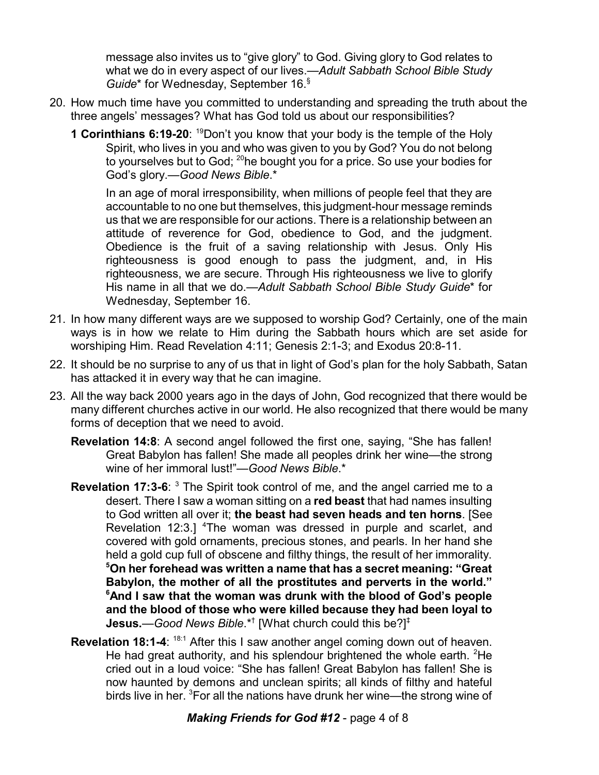message also invites us to "give glory" to God. Giving glory to God relates to what we do in every aspect of our lives.—*Adult Sabbath School Bible Study Guide*\* for Wednesday, September 16. §

- 20. How much time have you committed to understanding and spreading the truth about the three angels' messages? What has God told us about our responsibilities?
	- **1 Corinthians 6:19-20:** <sup>19</sup>Don't you know that your body is the temple of the Holy Spirit, who lives in you and who was given to you by God? You do not belong to yourselves but to God;  $^{20}$ he bought you for a price. So use your bodies for God's glory.—*Good News Bible*.\*

In an age of moral irresponsibility, when millions of people feel that they are accountable to no one but themselves, this judgment-hour message reminds us that we are responsible for our actions. There is a relationship between an attitude of reverence for God, obedience to God, and the judgment. Obedience is the fruit of a saving relationship with Jesus. Only His righteousness is good enough to pass the judgment, and, in His righteousness, we are secure. Through His righteousness we live to glorify His name in all that we do.—*Adult Sabbath School Bible Study Guide*\* for Wednesday, September 16.

- 21. In how many different ways are we supposed to worship God? Certainly, one of the main ways is in how we relate to Him during the Sabbath hours which are set aside for worshiping Him. Read Revelation 4:11; Genesis 2:1-3; and Exodus 20:8-11.
- 22. It should be no surprise to any of us that in light of God's plan for the holy Sabbath, Satan has attacked it in every way that he can imagine.
- 23. All the way back 2000 years ago in the days of John, God recognized that there would be many different churches active in our world. He also recognized that there would be many forms of deception that we need to avoid.
	- **Revelation 14:8**: A second angel followed the first one, saying, "She has fallen! Great Babylon has fallen! She made all peoples drink her wine—the strong wine of her immoral lust!"—*Good News Bible*.\*
	- **Revelation 17:3-6**: <sup>3</sup> The Spirit took control of me, and the angel carried me to a desert. There I saw a woman sitting on a **red beast** that had names insulting to God written all over it; **the beast had seven heads and ten horns**. [See Revelation 12:3.] <sup>4</sup>The woman was dressed in purple and scarlet, and covered with gold ornaments, precious stones, and pearls. In her hand she held a gold cup full of obscene and filthy things, the result of her immorality. **<sup>5</sup>On her forehead was written a name that has a secret meaning: "Great Babylon, the mother of all the prostitutes and perverts in the world." <sup>6</sup>And I saw that the woman was drunk with the blood of God's people and the blood of those who were killed because they had been loyal to Jesus.**—*Good News Bible*.\*† [What church could this be?] ‡
	- **Revelation 18:1-4:** <sup>18:1</sup> After this I saw another angel coming down out of heaven. He had great authority, and his splendour brightened the whole earth. <sup>2</sup>He cried out in a loud voice: "She has fallen! Great Babylon has fallen! She is now haunted by demons and unclean spirits; all kinds of filthy and hateful birds live in her. <sup>3</sup>For all the nations have drunk her wine—the strong wine of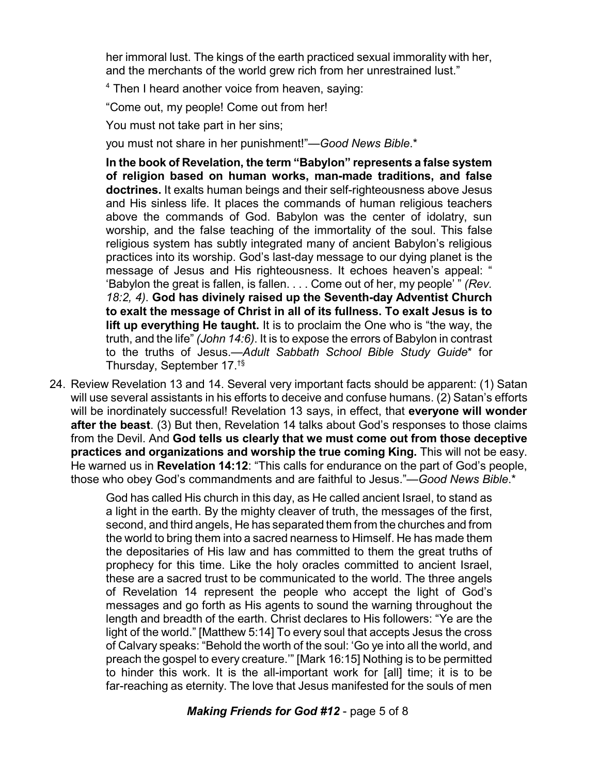her immoral lust. The kings of the earth practiced sexual immorality with her, and the merchants of the world grew rich from her unrestrained lust."

<sup>4</sup> Then I heard another voice from heaven, saying:

"Come out, my people! Come out from her!

You must not take part in her sins;

you must not share in her punishment!"—*Good News Bible*.\*

**In the book of Revelation, the term "Babylon" represents a false system of religion based on human works, man-made traditions, and false doctrines.** It exalts human beings and their self-righteousness above Jesus and His sinless life. It places the commands of human religious teachers above the commands of God. Babylon was the center of idolatry, sun worship, and the false teaching of the immortality of the soul. This false religious system has subtly integrated many of ancient Babylon's religious practices into its worship. God's last-day message to our dying planet is the message of Jesus and His righteousness. It echoes heaven's appeal: " 'Babylon the great is fallen, is fallen. . . . Come out of her, my people' " *(Rev. 18:2, 4)*. **God has divinely raised up the Seventh-day Adventist Church to exalt the message of Christ in all of its fullness. To exalt Jesus is to lift up everything He taught.** It is to proclaim the One who is "the way, the truth, and the life" *(John 14:6)*. It is to expose the errors of Babylon in contrast to the truths of Jesus.—*Adult Sabbath School Bible Study Guide*\* for Thursday, September 17. †§

24. Review Revelation 13 and 14. Several very important facts should be apparent: (1) Satan will use several assistants in his efforts to deceive and confuse humans. (2) Satan's efforts will be inordinately successful! Revelation 13 says, in effect, that **everyone will wonder after the beast**. (3) But then, Revelation 14 talks about God's responses to those claims from the Devil. And **God tells us clearly that we must come out from those deceptive practices and organizations and worship the true coming King.** This will not be easy. He warned us in **Revelation 14:12**: "This calls for endurance on the part of God's people, those who obey God's commandments and are faithful to Jesus."—*Good News Bible*.\*

> God has called His church in this day, as He called ancient Israel, to stand as a light in the earth. By the mighty cleaver of truth, the messages of the first, second, and third angels, He has separated them from the churches and from the world to bring them into a sacred nearness to Himself. He has made them the depositaries of His law and has committed to them the great truths of prophecy for this time. Like the holy oracles committed to ancient Israel, these are a sacred trust to be communicated to the world. The three angels of Revelation 14 represent the people who accept the light of God's messages and go forth as His agents to sound the warning throughout the length and breadth of the earth. Christ declares to His followers: "Ye are the light of the world." [Matthew 5:14] To every soul that accepts Jesus the cross of Calvary speaks: "Behold the worth of the soul: 'Go ye into all the world, and preach the gospel to every creature.'" [Mark 16:15] Nothing is to be permitted to hinder this work. It is the all-important work for [all] time; it is to be far-reaching as eternity. The love that Jesus manifested for the souls of men

> > *Making Friends for God #12* - page 5 of 8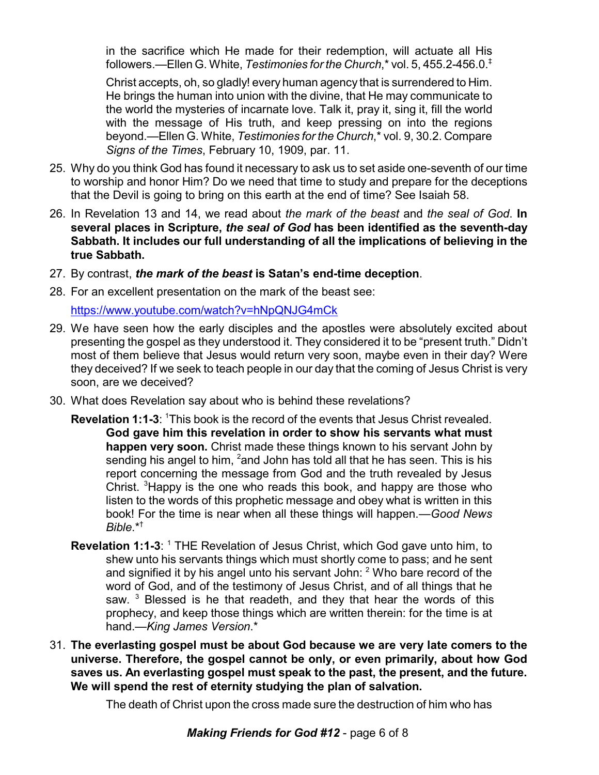in the sacrifice which He made for their redemption, will actuate all His followers.—Ellen G. White, *Testimonies for the Church*,\* vol. 5, 455.2-456.0. ‡

Christ accepts, oh, so gladly! every human agency that is surrendered to Him. He brings the human into union with the divine, that He may communicate to the world the mysteries of incarnate love. Talk it, pray it, sing it, fill the world with the message of His truth, and keep pressing on into the regions beyond.—Ellen G. White, *Testimonies for the Church*,\* vol. 9, 30.2. Compare *Signs of the Times*, February 10, 1909, par. 11.

- 25. Why do you think God has found it necessary to ask us to set aside one-seventh of our time to worship and honor Him? Do we need that time to study and prepare for the deceptions that the Devil is going to bring on this earth at the end of time? See Isaiah 58.
- 26. In Revelation 13 and 14, we read about *the mark of the beast* and *the seal of God*. **In several places in Scripture,** *the seal of God* **has been identified as the seventh-day Sabbath. It includes our full understanding of all the implications of believing in the true Sabbath.**
- 27. By contrast, *the mark of the beast* **is Satan's end-time deception**.
- 28. For an excellent presentation on the mark of the beast see:

<https://www.youtube.com/watch?v=hNpQNJG4mCk>

- 29. We have seen how the early disciples and the apostles were absolutely excited about presenting the gospel as they understood it. They considered it to be "present truth." Didn't most of them believe that Jesus would return very soon, maybe even in their day? Were they deceived? If we seek to teach people in our day that the coming of Jesus Christ is very soon, are we deceived?
- 30. What does Revelation say about who is behind these revelations?
	- **Revelation 1:1-3:** <sup>1</sup>This book is the record of the events that Jesus Christ revealed. **God gave him this revelation in order to show his servants what must happen very soon.** Christ made these things known to his servant John by sending his angel to him, <sup>2</sup>and John has told all that he has seen. This is his report concerning the message from God and the truth revealed by Jesus Christ. <sup>3</sup>Happy is the one who reads this book, and happy are those who listen to the words of this prophetic message and obey what is written in this book! For the time is near when all these things will happen.—*Good News Bible*.\*†
	- **Revelation 1:1-3:** <sup>1</sup> THE Revelation of Jesus Christ, which God gave unto him, to shew unto his servants things which must shortly come to pass; and he sent and signified it by his angel unto his servant John: <sup>2</sup> Who bare record of the word of God, and of the testimony of Jesus Christ, and of all things that he saw.<sup>3</sup> Blessed is he that readeth, and they that hear the words of this prophecy, and keep those things which are written therein: for the time is at hand.—*King James Version*.\*
- 31. **The everlasting gospel must be about God because we are very late comers to the universe. Therefore, the gospel cannot be only, or even primarily, about how God saves us. An everlasting gospel must speak to the past, the present, and the future. We will spend the rest of eternity studying the plan of salvation.**

The death of Christ upon the cross made sure the destruction of him who has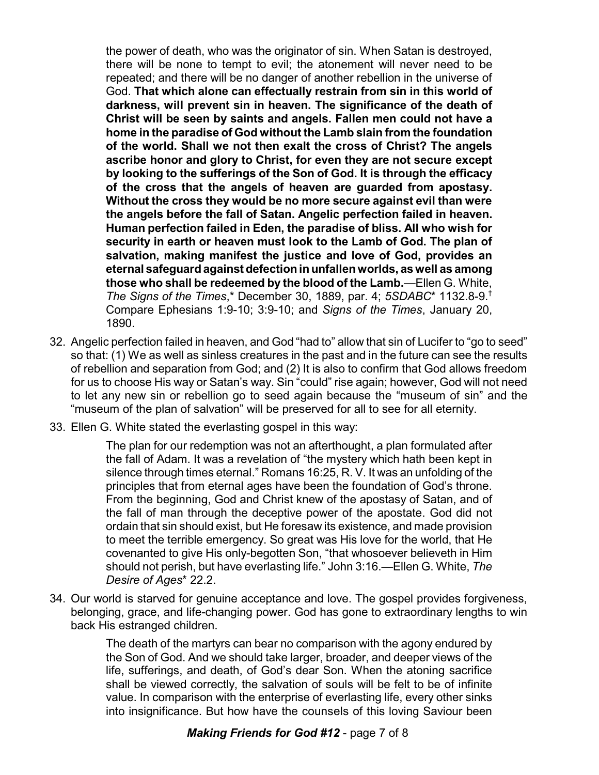the power of death, who was the originator of sin. When Satan is destroyed, there will be none to tempt to evil; the atonement will never need to be repeated; and there will be no danger of another rebellion in the universe of God. **That which alone can effectually restrain from sin in this world of darkness, will prevent sin in heaven. The significance of the death of Christ will be seen by saints and angels. Fallen men could not have a home in the paradise of God without the Lamb slain from the foundation of the world. Shall we not then exalt the cross of Christ? The angels ascribe honor and glory to Christ, for even they are not secure except by looking to the sufferings of the Son of God. It is through the efficacy of the cross that the angels of heaven are guarded from apostasy. Without the cross they would be no more secure against evil than were the angels before the fall of Satan. Angelic perfection failed in heaven. Human perfection failed in Eden, the paradise of bliss. All who wish for security in earth or heaven must look to the Lamb of God. The plan of salvation, making manifest the justice and love of God, provides an eternal safeguardagainst defectioninunfallenworlds, aswell as among those who shall be redeemed by the blood of the Lamb.**—Ellen G. White, *The Signs of the Times*,\* December 30, 1889, par. 4; *5SDABC*\* 1132.8-9. † Compare Ephesians 1:9-10; 3:9-10; and *Signs of the Times*, January 20, 1890.

- 32. Angelic perfection failed in heaven, and God "had to" allow that sin of Lucifer to "go to seed" so that: (1) We as well as sinless creatures in the past and in the future can see the results of rebellion and separation from God; and (2) It is also to confirm that God allows freedom for us to choose His way or Satan's way. Sin "could" rise again; however, God will not need to let any new sin or rebellion go to seed again because the "museum of sin" and the "museum of the plan of salvation" will be preserved for all to see for all eternity.
- 33. Ellen G. White stated the everlasting gospel in this way:

The plan for our redemption was not an afterthought, a plan formulated after the fall of Adam. It was a revelation of "the mystery which hath been kept in silence through times eternal." Romans 16:25, R. V. It was an unfolding of the principles that from eternal ages have been the foundation of God's throne. From the beginning, God and Christ knew of the apostasy of Satan, and of the fall of man through the deceptive power of the apostate. God did not ordain that sin should exist, but He foresaw its existence, and made provision to meet the terrible emergency. So great was His love for the world, that He covenanted to give His only-begotten Son, "that whosoever believeth in Him should not perish, but have everlasting life." John 3:16.—Ellen G. White, *The Desire of Ages*\* 22.2.

34. Our world is starved for genuine acceptance and love. The gospel provides forgiveness, belonging, grace, and life-changing power. God has gone to extraordinary lengths to win back His estranged children.

> The death of the martyrs can bear no comparison with the agony endured by the Son of God. And we should take larger, broader, and deeper views of the life, sufferings, and death, of God's dear Son. When the atoning sacrifice shall be viewed correctly, the salvation of souls will be felt to be of infinite value. In comparison with the enterprise of everlasting life, every other sinks into insignificance. But how have the counsels of this loving Saviour been